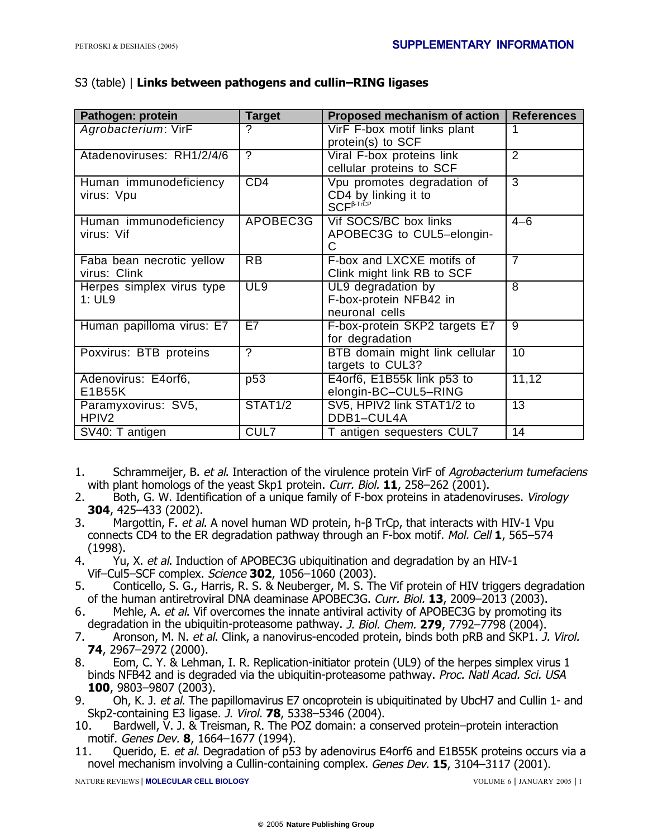## S3 (table) | **Links between pathogens and cullin–RING ligases**

| Pathogen: protein                         | <b>Target</b>            | Proposed mechanism of action                                                     | <b>References</b> |
|-------------------------------------------|--------------------------|----------------------------------------------------------------------------------|-------------------|
| Agrobacterium: VirF                       | ?                        | VirF F-box motif links plant<br>protein(s) to SCF                                | 1                 |
| Atadenoviruses: RH1/2/4/6                 | $\overline{\mathcal{C}}$ | Viral F-box proteins link<br>cellular proteins to SCF                            | 2                 |
| Human immunodeficiency<br>virus: Vpu      | CD4                      | Vpu promotes degradation of<br>CD4 by linking it to<br>$SCF^{\beta\text{-TrCP}}$ | 3                 |
| Human immunodeficiency<br>virus: Vif      | APOBEC3G                 | Vif SOCS/BC box links<br>APOBEC3G to CUL5-elongin-                               | $4 - 6$           |
| Faba bean necrotic yellow<br>virus: Clink | <b>RB</b>                | F-box and LXCXE motifs of<br>Clink might link RB to SCF                          | $\overline{7}$    |
| Herpes simplex virus type<br>1: UL9       | UL9                      | UL9 degradation by<br>F-box-protein NFB42 in<br>neuronal cells                   | 8                 |
| Human papilloma virus: E7                 | E7                       | F-box-protein SKP2 targets E7<br>for degradation                                 | 9                 |
| Poxvirus: BTB proteins                    | Σ                        | BTB domain might link cellular<br>targets to CUL3?                               | 10                |
| Adenovirus: E4orf6,<br>E1B55K             | p53                      | E4orf6, E1B55k link p53 to<br>elongin-BC-CUL5-RING                               | 11,12             |
| Paramyxovirus: SV5,<br>HPIV <sub>2</sub>  | <b>STAT1/2</b>           | SV5, HPIV2 link STAT1/2 to<br>DDB1-CUL4A                                         | $\overline{13}$   |
| SV40: T antigen                           | CUL7                     | T antigen sequesters CUL7                                                        | $\overline{14}$   |

- 1. Schrammeijer, B. et al. Interaction of the virulence protein VirF of Agrobacterium tumefaciens with plant homologs of the yeast Skp1 protein. Curr. Biol. **11**, 258–262 (2001).
- 2. Both, G. W. Identification of a unique family of F-box proteins in atadenoviruses. Virology **304**, 425–433 (2002).
- 3. Margottin, F. et al. A novel human WD protein, h-β TrCp, that interacts with HIV-1 Vpu connects CD4 to the ER degradation pathway through an F-box motif. Mol. Cell **1**, 565–574 (1998).
- 4. Yu, X. et al. Induction of APOBEC3G ubiquitination and degradation by an HIV-1 Vif–Cul5–SCF complex. Science **302**, 1056–1060 (2003).
- 5. Conticello, S. G., Harris, R. S. & Neuberger, M. S. The Vif protein of HIV triggers degradation of the human antiretroviral DNA deaminase APOBEC3G. Curr. Biol. **13**, 2009–2013 (2003).
- 6. Mehle, A. et al. Vif overcomes the innate antiviral activity of APOBEC3G by promoting its degradation in the ubiquitin-proteasome pathway. J. Biol. Chem. **279**, 7792–7798 (2004).
- 7. Aronson, M. N. et al. Clink, a nanovirus-encoded protein, binds both pRB and SKP1. J. Virol. **74**, 2967–2972 (2000).
- 8. Eom, C. Y. & Lehman, I. R. Replication-initiator protein (UL9) of the herpes simplex virus 1 binds NFB42 and is degraded via the ubiquitin-proteasome pathway. Proc. Natl Acad. Sci. USA **100**, 9803–9807 (2003).
- 9. Oh, K. J. et al. The papillomavirus E7 oncoprotein is ubiquitinated by UbcH7 and Cullin 1- and Skp2-containing E3 ligase. J. Virol. **78**, 5338–5346 (2004).
- 10. Bardwell, V. J. & Treisman, R. The POZ domain: a conserved protein–protein interaction motif. Genes Dev. **8**, 1664–1677 (1994).
- 11. Querido, E. et al. Degradation of p53 by adenovirus E4orf6 and E1B55K proteins occurs via a novel mechanism involving a Cullin-containing complex. Genes Dev. **15**, 3104–3117 (2001).